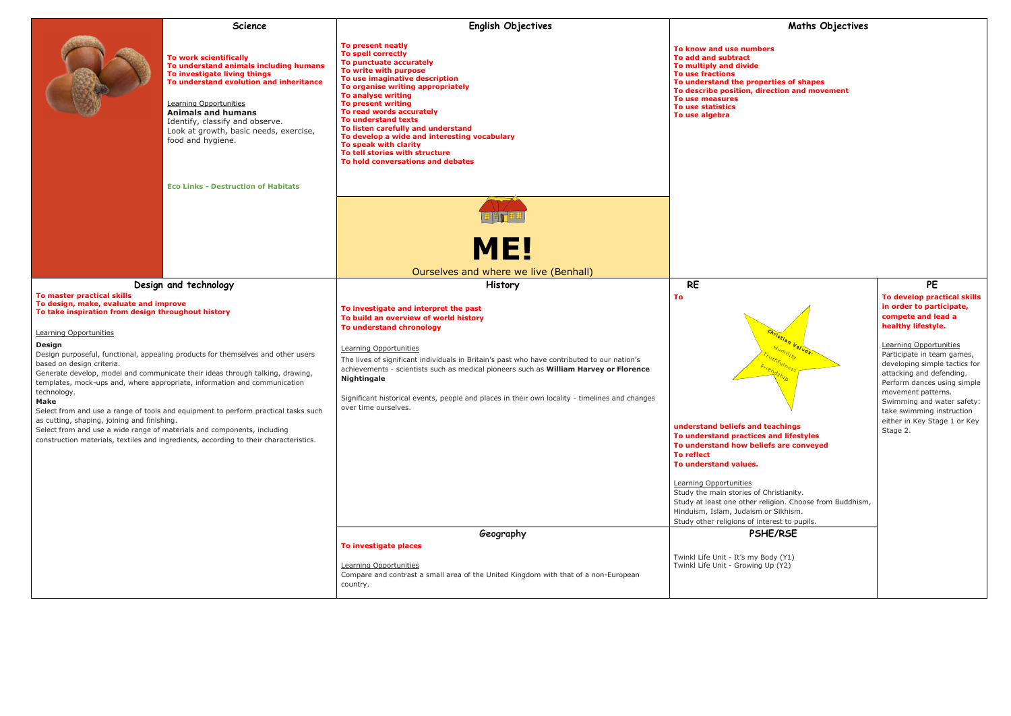

Christianity. eligion. Choose from Buddhism, or Sikhism. terest to pupils.

|                                                                                                                                                                                                                                                                                                                                                           | <b>Science</b>                                                                                                                                                                                                                                                                                                                                                                                                                                         | <b>English Objectives</b>                                                                                                                                                                                                                                                                                                                                                                                                                                                                      | Maths Objec                                                                                                                                                                                                                                                                                                                                                                                                                                               |
|-----------------------------------------------------------------------------------------------------------------------------------------------------------------------------------------------------------------------------------------------------------------------------------------------------------------------------------------------------------|--------------------------------------------------------------------------------------------------------------------------------------------------------------------------------------------------------------------------------------------------------------------------------------------------------------------------------------------------------------------------------------------------------------------------------------------------------|------------------------------------------------------------------------------------------------------------------------------------------------------------------------------------------------------------------------------------------------------------------------------------------------------------------------------------------------------------------------------------------------------------------------------------------------------------------------------------------------|-----------------------------------------------------------------------------------------------------------------------------------------------------------------------------------------------------------------------------------------------------------------------------------------------------------------------------------------------------------------------------------------------------------------------------------------------------------|
|                                                                                                                                                                                                                                                                                                                                                           | To work scientifically<br>To understand animals including humans<br>To investigate living things<br>To understand evolution and inheritance<br><b>Learning Opportunities</b><br><b>Animals and humans</b><br>Identify, classify and observe.<br>Look at growth, basic needs, exercise,<br>food and hygiene.                                                                                                                                            | To present neatly<br>To spell correctly<br>To punctuate accurately<br>To write with purpose<br>To use imaginative description<br>To organise writing appropriately<br>To analyse writing<br>To present writing<br>To read words accurately<br>To understand texts<br>To listen carefully and understand<br>To develop a wide and interesting vocabulary<br>To speak with clarity<br>To tell stories with structure<br>To hold conversations and debates                                        | To know and use numbers<br>To add and subtract<br>To multiply and divide<br><b>To use fractions</b><br>To understand the properties of shapes<br>To describe position, direction and movement<br>To use measures<br>To use statistics<br>To use algebra                                                                                                                                                                                                   |
|                                                                                                                                                                                                                                                                                                                                                           | <b>Eco Links - Destruction of Habitats</b>                                                                                                                                                                                                                                                                                                                                                                                                             |                                                                                                                                                                                                                                                                                                                                                                                                                                                                                                |                                                                                                                                                                                                                                                                                                                                                                                                                                                           |
|                                                                                                                                                                                                                                                                                                                                                           |                                                                                                                                                                                                                                                                                                                                                                                                                                                        | <b>ME!</b>                                                                                                                                                                                                                                                                                                                                                                                                                                                                                     |                                                                                                                                                                                                                                                                                                                                                                                                                                                           |
|                                                                                                                                                                                                                                                                                                                                                           |                                                                                                                                                                                                                                                                                                                                                                                                                                                        | Ourselves and where we live (Benhall)                                                                                                                                                                                                                                                                                                                                                                                                                                                          |                                                                                                                                                                                                                                                                                                                                                                                                                                                           |
| To master practical skills<br>To design, make, evaluate and improve<br>To take inspiration from design throughout history<br><b>Learning Opportunities</b><br>Design<br>based on design criteria.<br>technology.<br><b>Make</b><br>as cutting, shaping, joining and finishing.<br>Select from and use a wide range of materials and components, including | Design and technology<br>Design purposeful, functional, appealing products for themselves and other users<br>Generate develop, model and communicate their ideas through talking, drawing,<br>templates, mock-ups and, where appropriate, information and communication<br>Select from and use a range of tools and equipment to perform practical tasks such<br>construction materials, textiles and ingredients, according to their characteristics. | <b>History</b><br>To investigate and interpret the past<br>To build an overview of world history<br>To understand chronology<br>Learning Opportunities<br>The lives of significant individuals in Britain's past who have contributed to our nation's<br>achievements - scientists such as medical pioneers such as William Harvey or Florence<br><b>Nightingale</b><br>Significant historical events, people and places in their own locality - timelines and changes<br>over time ourselves. | <b>RE</b><br>To<br>Christian Values.<br>Humility<br>Truthfulness<br>understand beliefs and teachings<br>To understand practices and lifestyles<br>To understand how beliefs are conveyed<br><b>To reflect</b><br>To understand values.<br>Learning Opportunities<br>Study the main stories of Christianity.<br>Study at least one other religion. Choose from Bud<br>Hinduism, Islam, Judaism or Sikhism.<br>Study other religions of interest to pupils. |
|                                                                                                                                                                                                                                                                                                                                                           |                                                                                                                                                                                                                                                                                                                                                                                                                                                        | Geography<br>To investigate places<br>Learning Opportunities<br>Compare and contrast a small area of the United Kingdom with that of a non-European<br>country.                                                                                                                                                                                                                                                                                                                                | PSHE/RSE<br>Twinkl Life Unit - It's my Body (Y1)<br>Twinkl Life Unit - Growing Up (Y2)                                                                                                                                                                                                                                                                                                                                                                    |

## **PE**

## **To develop practical skills in order to participate, compete and lead a healthy lifestyle.**

Learning Opportunities Participate in team games, developing simple tactics for attacking and defending. Perform dances using simple movement patterns. Swimming and water safety: take swimming instruction either in Key Stage 1 or Key Stage 2.

## **PSHE/RSE**